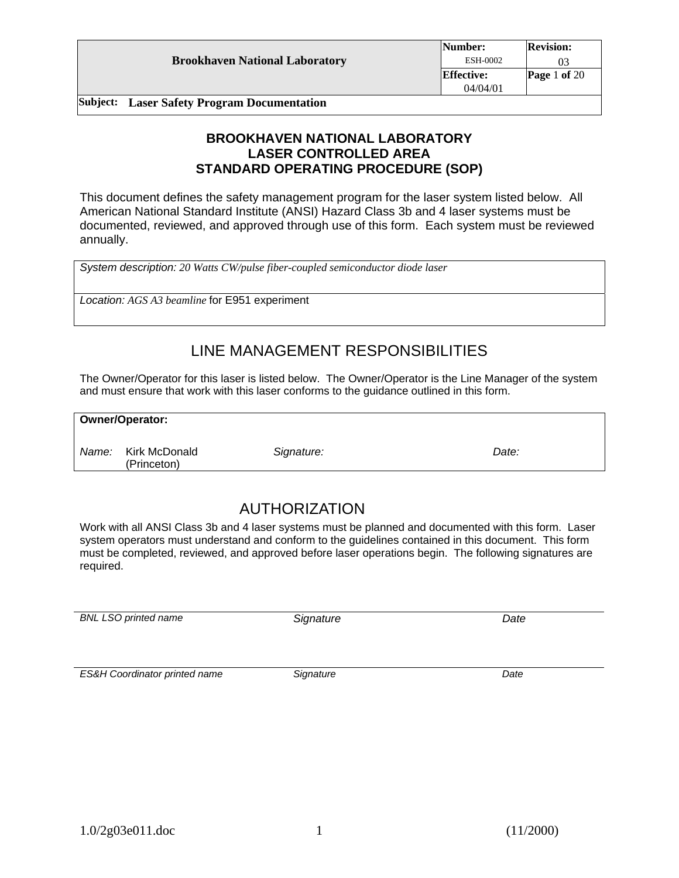|                                                    | Number:           | <b>Revision:</b> |
|----------------------------------------------------|-------------------|------------------|
| <b>Brookhaven National Laboratory</b>              | ESH-0002          |                  |
|                                                    | <b>Effective:</b> | Page 1 of $20$   |
|                                                    | 04/04/01          |                  |
| <b>Subject:</b> Laser Safety Program Documentation |                   |                  |

### **BROOKHAVEN NATIONAL LABORATORY LASER CONTROLLED AREA STANDARD OPERATING PROCEDURE (SOP)**

This document defines the safety management program for the laser system listed below. All American National Standard Institute (ANSI) Hazard Class 3b and 4 laser systems must be documented, reviewed, and approved through use of this form. Each system must be reviewed annually.

*System description: 20 Watts CW/pulse fiber-coupled semiconductor diode laser* 

*Location: AGS A3 beamline* for E951 experiment

# LINE MANAGEMENT RESPONSIBILITIES

The Owner/Operator for this laser is listed below. The Owner/Operator is the Line Manager of the system and must ensure that work with this laser conforms to the guidance outlined in this form.

### **Owner/Operator:**

*Name:* Kirk McDonald (Princeton)

*Signature: Date:* 

# AUTHORIZATION

Work with all ANSI Class 3b and 4 laser systems must be planned and documented with this form. Laser system operators must understand and conform to the guidelines contained in this document. This form must be completed, reviewed, and approved before laser operations begin. The following signatures are required.

*BNL LSO printed name Signature Date* 

*ES&H Coordinator printed name Signature Date*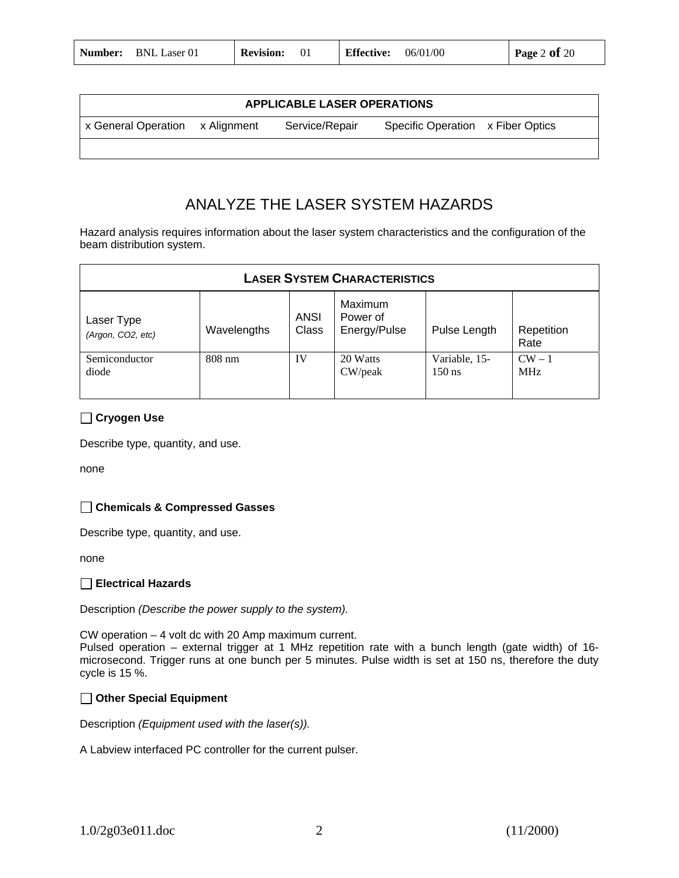| Number: | <b>BNL Laser 01</b> | <b>Revision:</b> |  | <b>Effective:</b> | 06/01/00 | Page 2 of $20$ |
|---------|---------------------|------------------|--|-------------------|----------|----------------|
|---------|---------------------|------------------|--|-------------------|----------|----------------|

|                                 | <b>APPLICABLE LASER OPERATIONS</b> |                                   |
|---------------------------------|------------------------------------|-----------------------------------|
| x General Operation x Alignment | Service/Repair                     | Specific Operation x Fiber Optics |
|                                 |                                    |                                   |

# ANALYZE THE LASER SYSTEM HAZARDS

Hazard analysis requires information about the laser system characteristics and the configuration of the beam distribution system.

|                                 |                  |               | <b>LASER SYSTEM CHARACTERISTICS</b> |                           |                      |
|---------------------------------|------------------|---------------|-------------------------------------|---------------------------|----------------------|
| Laser Type<br>(Argon, CO2, etc) | Wavelengths      | ANSI<br>Class | Maximum<br>Power of<br>Energy/Pulse | Pulse Length              | Repetition<br>Rate   |
| Semiconductor<br>diode          | $808 \text{ nm}$ | IV            | 20 Watts<br>CW/peak                 | Variable, 15-<br>$150$ ns | $CW-1$<br><b>MHz</b> |

### **Cryogen Use**

Describe type, quantity, and use.

none

#### **Chemicals & Compressed Gasses**

Describe type, quantity, and use.

none

#### **Electrical Hazards**

Description *(Describe the power supply to the system).* 

CW operation – 4 volt dc with 20 Amp maximum current.

Pulsed operation – external trigger at 1 MHz repetition rate with a bunch length (gate width) of 16 microsecond. Trigger runs at one bunch per 5 minutes. Pulse width is set at 150 ns, therefore the duty cycle is 15 %.

#### **Other Special Equipment**

Description *(Equipment used with the laser(s)).* 

A Labview interfaced PC controller for the current pulser.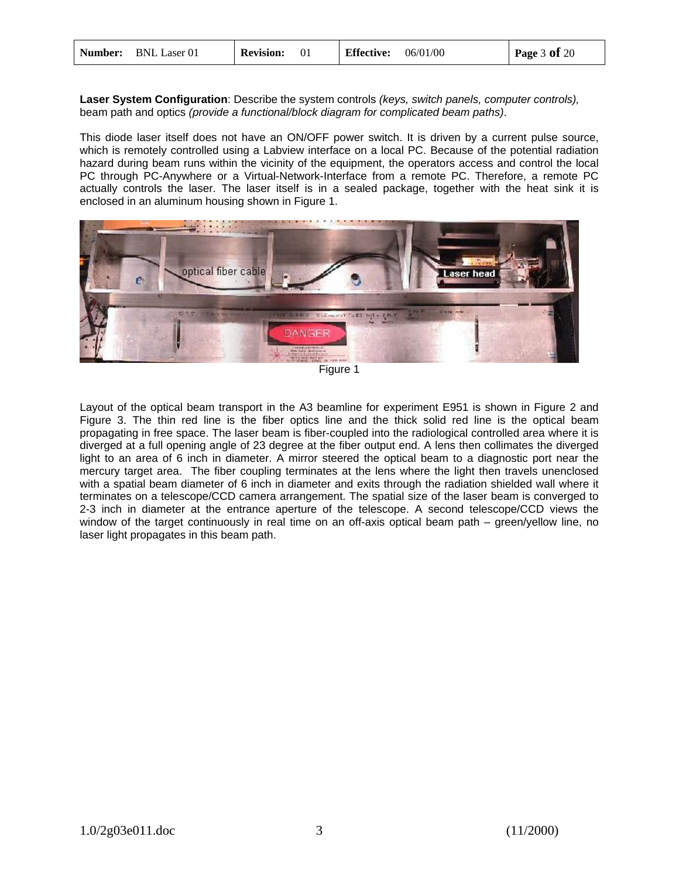| Number: | <b>BNL Laser 01</b> | <b>Revision:</b> |  | <b>Effective:</b> | 06/01/00 | Page $3$ of $20$ |
|---------|---------------------|------------------|--|-------------------|----------|------------------|
|---------|---------------------|------------------|--|-------------------|----------|------------------|

**Laser System Configuration**: Describe the system controls *(keys, switch panels, computer controls),* beam path and optics *(provide a functional/block diagram for complicated beam paths)*.

This diode laser itself does not have an ON/OFF power switch. It is driven by a current pulse source, which is remotely controlled using a Labview interface on a local PC. Because of the potential radiation hazard during beam runs within the vicinity of the equipment, the operators access and control the local PC through PC-Anywhere or a Virtual-Network-Interface from a remote PC. Therefore, a remote PC actually controls the laser. The laser itself is in a sealed package, together with the heat sink it is enclosed in an aluminum housing shown in Figure 1.



Figure 1

Layout of the optical beam transport in the A3 beamline for experiment E951 is shown in Figure 2 and Figure 3. The thin red line is the fiber optics line and the thick solid red line is the optical beam propagating in free space. The laser beam is fiber-coupled into the radiological controlled area where it is diverged at a full opening angle of 23 degree at the fiber output end. A lens then collimates the diverged light to an area of 6 inch in diameter. A mirror steered the optical beam to a diagnostic port near the mercury target area. The fiber coupling terminates at the lens where the light then travels unenclosed with a spatial beam diameter of 6 inch in diameter and exits through the radiation shielded wall where it terminates on a telescope/CCD camera arrangement. The spatial size of the laser beam is converged to 2-3 inch in diameter at the entrance aperture of the telescope. A second telescope/CCD views the window of the target continuously in real time on an off-axis optical beam path – green/yellow line, no laser light propagates in this beam path.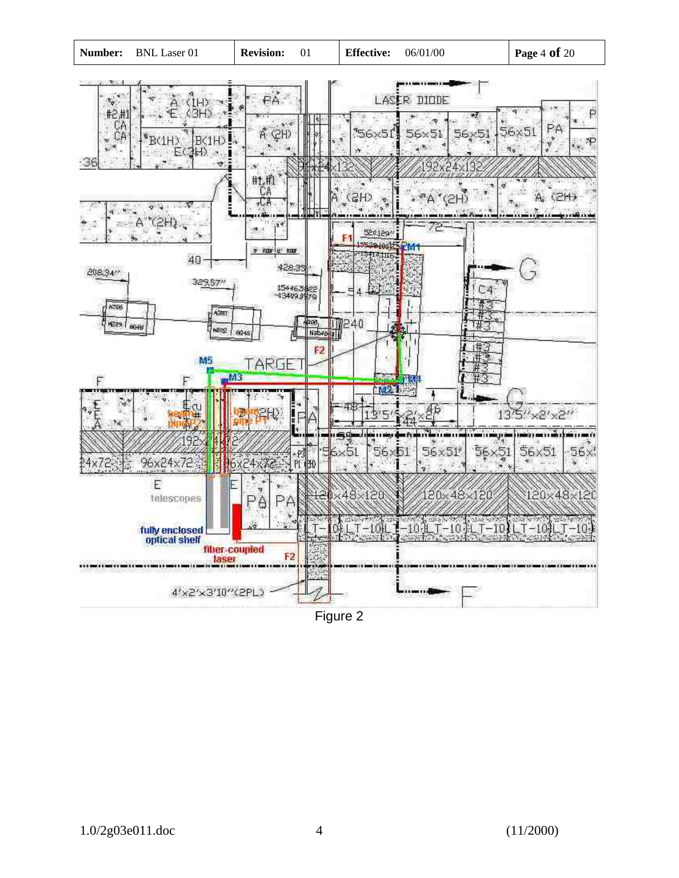

Figure 2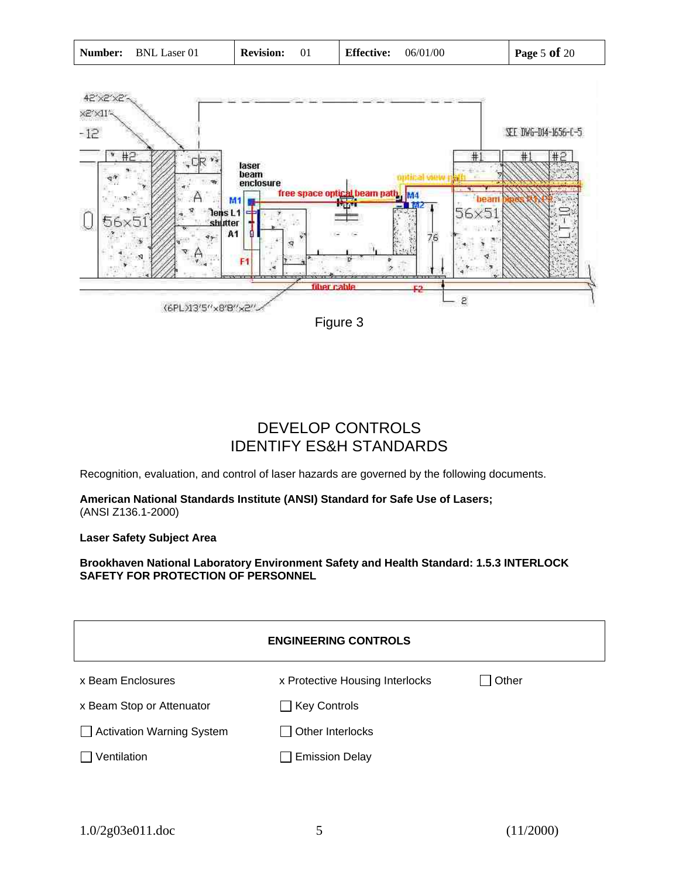|  | <b>Number:</b> BNL Laser 01 | <b>Revision:</b> |  | <b>Effective:</b> | 06/01/00 | Page 5 of $20$ |
|--|-----------------------------|------------------|--|-------------------|----------|----------------|
|--|-----------------------------|------------------|--|-------------------|----------|----------------|



# DEVELOP CONTROLS IDENTIFY ES&H STANDARDS

Recognition, evaluation, and control of laser hazards are governed by the following documents.

**American National Standards Institute (ANSI) Standard for Safe Use of Lasers;** (ANSI Z136.1-2000)

**Laser Safety Subject Area** 

**Brookhaven National Laboratory Environment Safety and Health Standard: 1.5.3 INTERLOCK SAFETY FOR PROTECTION OF PERSONNEL**

|                           | <b>ENGINEERING CONTROLS</b>     |       |
|---------------------------|---------------------------------|-------|
| x Beam Enclosures         | x Protective Housing Interlocks | Other |
| x Beam Stop or Attenuator | $\Box$ Key Controls             |       |
| Activation Warning System | Other Interlocks                |       |
| Ventilation               | <b>Emission Delay</b>           |       |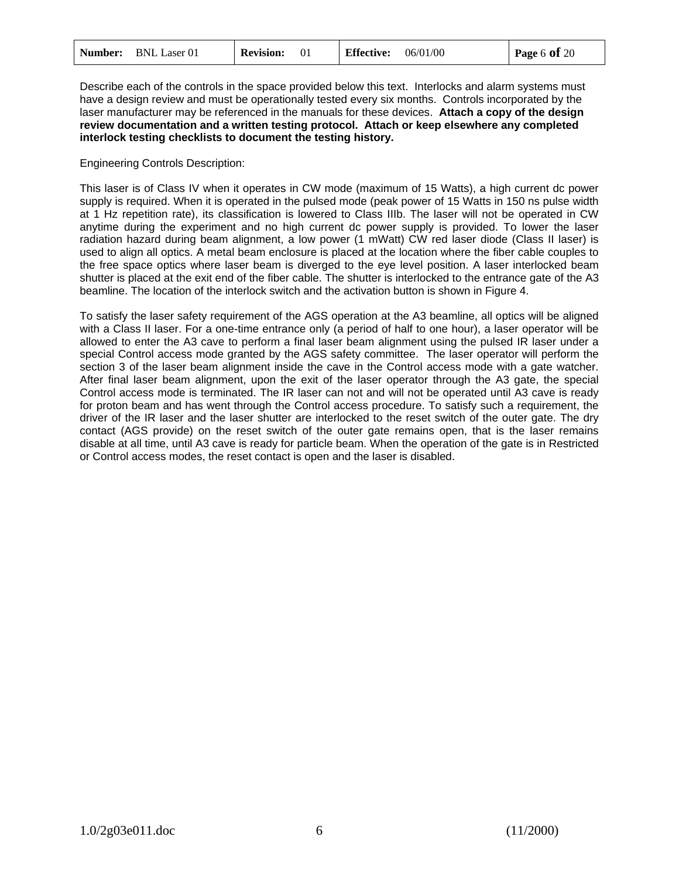| <b>Number:</b> BNL Laser 01 | <b>Revision:</b> | 06/01/00<br><b>Effective:</b> | Page 6 of $20$ |
|-----------------------------|------------------|-------------------------------|----------------|
|-----------------------------|------------------|-------------------------------|----------------|

Describe each of the controls in the space provided below this text. Interlocks and alarm systems must have a design review and must be operationally tested every six months. Controls incorporated by the laser manufacturer may be referenced in the manuals for these devices. **Attach a copy of the design review documentation and a written testing protocol. Attach or keep elsewhere any completed interlock testing checklists to document the testing history.** 

#### Engineering Controls Description:

This laser is of Class IV when it operates in CW mode (maximum of 15 Watts), a high current dc power supply is required. When it is operated in the pulsed mode (peak power of 15 Watts in 150 ns pulse width at 1 Hz repetition rate), its classification is lowered to Class IIIb. The laser will not be operated in CW anytime during the experiment and no high current dc power supply is provided. To lower the laser radiation hazard during beam alignment, a low power (1 mWatt) CW red laser diode (Class II laser) is used to align all optics. A metal beam enclosure is placed at the location where the fiber cable couples to the free space optics where laser beam is diverged to the eye level position. A laser interlocked beam shutter is placed at the exit end of the fiber cable. The shutter is interlocked to the entrance gate of the A3 beamline. The location of the interlock switch and the activation button is shown in Figure 4.

To satisfy the laser safety requirement of the AGS operation at the A3 beamline, all optics will be aligned with a Class II laser. For a one-time entrance only (a period of half to one hour), a laser operator will be allowed to enter the A3 cave to perform a final laser beam alignment using the pulsed IR laser under a special Control access mode granted by the AGS safety committee. The laser operator will perform the section 3 of the laser beam alignment inside the cave in the Control access mode with a gate watcher. After final laser beam alignment, upon the exit of the laser operator through the A3 gate, the special Control access mode is terminated. The IR laser can not and will not be operated until A3 cave is ready for proton beam and has went through the Control access procedure. To satisfy such a requirement, the driver of the IR laser and the laser shutter are interlocked to the reset switch of the outer gate. The dry contact (AGS provide) on the reset switch of the outer gate remains open, that is the laser remains disable at all time, until A3 cave is ready for particle beam. When the operation of the gate is in Restricted or Control access modes, the reset contact is open and the laser is disabled.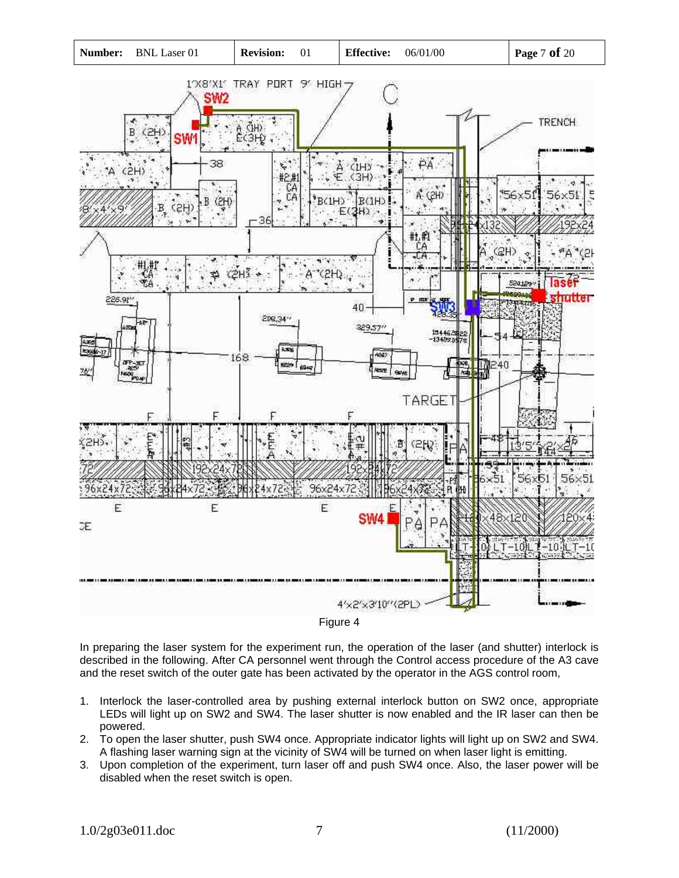



In preparing the laser system for the experiment run, the operation of the laser (and shutter) interlock is described in the following. After CA personnel went through the Control access procedure of the A3 cave and the reset switch of the outer gate has been activated by the operator in the AGS control room,

- 1. Interlock the laser-controlled area by pushing external interlock button on SW2 once, appropriate LEDs will light up on SW2 and SW4. The laser shutter is now enabled and the IR laser can then be powered.
- 2. To open the laser shutter, push SW4 once. Appropriate indicator lights will light up on SW2 and SW4. A flashing laser warning sign at the vicinity of SW4 will be turned on when laser light is emitting.
- 3. Upon completion of the experiment, turn laser off and push SW4 once. Also, the laser power will be disabled when the reset switch is open.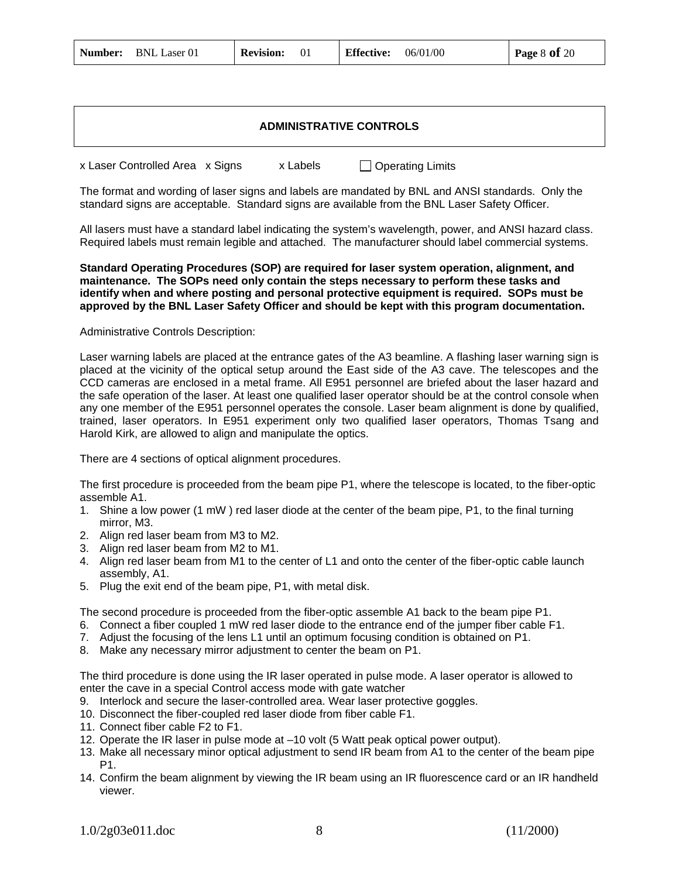| <b>Number:</b> BNL Laser 01 | <b>Revision:</b> 01 | <b>Effective:</b>              | 06/01/00 | <b>Page 8 of 20</b> |
|-----------------------------|---------------------|--------------------------------|----------|---------------------|
|                             |                     |                                |          |                     |
|                             |                     |                                |          |                     |
|                             |                     | <b>ADMINISTRATIVE CONTROLS</b> |          |                     |

| x Laser Controlled Area x Signs | x Labels | $\Box$ Operating Limits                                                                                                                                                                             |  |
|---------------------------------|----------|-----------------------------------------------------------------------------------------------------------------------------------------------------------------------------------------------------|--|
|                                 |          | The format and wording of laser signs and labels are mandated by BNL and ANSI standards. Only the<br>standard signs are acceptable. Standard signs are available from the BNL Laser Safety Officer. |  |
|                                 |          | وموام امتوجعوا ٨١١٥١ امرور ومبينوم والموروان بمبرور وامتصلوبو موالا ومناومنا امراما امتوامومات مربوط لمبيور متوموا ال                                                                               |  |

All lasers must have a standard label indicating the system's wavelength, power, and ANSI hazard class. Required labels must remain legible and attached. The manufacturer should label commercial systems.

#### **Standard Operating Procedures (SOP) are required for laser system operation, alignment, and maintenance. The SOPs need only contain the steps necessary to perform these tasks and identify when and where posting and personal protective equipment is required. SOPs must be approved by the BNL Laser Safety Officer and should be kept with this program documentation.**

#### Administrative Controls Description:

Laser warning labels are placed at the entrance gates of the A3 beamline. A flashing laser warning sign is placed at the vicinity of the optical setup around the East side of the A3 cave. The telescopes and the CCD cameras are enclosed in a metal frame. All E951 personnel are briefed about the laser hazard and the safe operation of the laser. At least one qualified laser operator should be at the control console when any one member of the E951 personnel operates the console. Laser beam alignment is done by qualified, trained, laser operators. In E951 experiment only two qualified laser operators, Thomas Tsang and Harold Kirk, are allowed to align and manipulate the optics.

There are 4 sections of optical alignment procedures.

The first procedure is proceeded from the beam pipe P1, where the telescope is located, to the fiber-optic assemble A1.

- 1. Shine a low power (1 mW ) red laser diode at the center of the beam pipe, P1, to the final turning mirror, M3.
- 2. Align red laser beam from M3 to M2.
- 3. Align red laser beam from M2 to M1.
- 4. Align red laser beam from M1 to the center of L1 and onto the center of the fiber-optic cable launch assembly, A1.
- 5. Plug the exit end of the beam pipe, P1, with metal disk.

The second procedure is proceeded from the fiber-optic assemble A1 back to the beam pipe P1.

- 6. Connect a fiber coupled 1 mW red laser diode to the entrance end of the jumper fiber cable F1.
- 7. Adjust the focusing of the lens L1 until an optimum focusing condition is obtained on P1.
- 8. Make any necessary mirror adjustment to center the beam on P1.

The third procedure is done using the IR laser operated in pulse mode. A laser operator is allowed to enter the cave in a special Control access mode with gate watcher

- 9. Interlock and secure the laser-controlled area. Wear laser protective goggles.
- 10. Disconnect the fiber-coupled red laser diode from fiber cable F1.
- 11. Connect fiber cable F2 to F1.
- 12. Operate the IR laser in pulse mode at –10 volt (5 Watt peak optical power output).
- 13. Make all necessary minor optical adjustment to send IR beam from A1 to the center of the beam pipe P1.
- 14. Confirm the beam alignment by viewing the IR beam using an IR fluorescence card or an IR handheld viewer.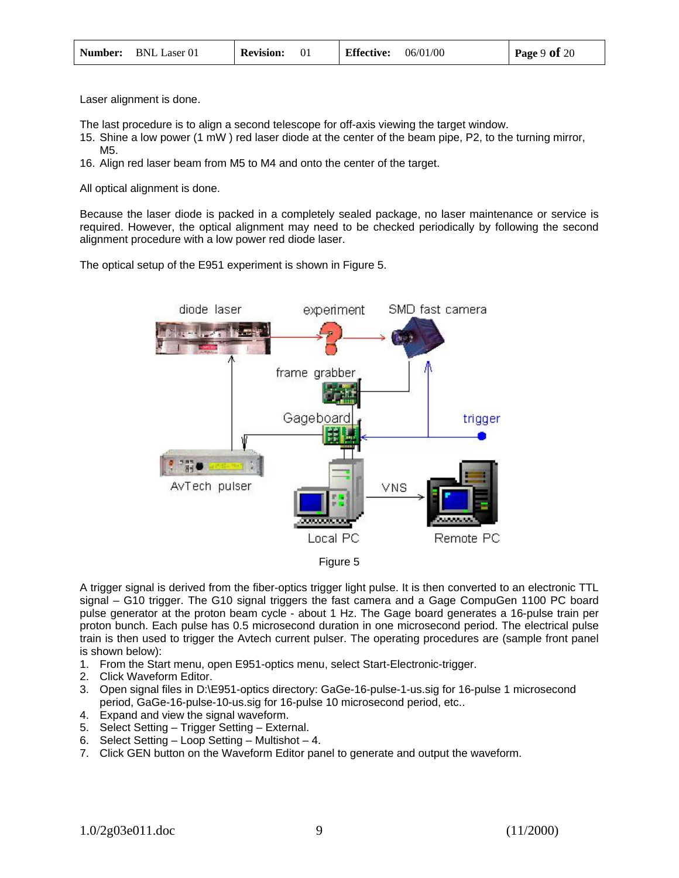|  | <b>Number:</b> BNL Laser 01 | <b>Revision:</b> |  | <b>Effective:</b> | 06/01/00 | Page $9$ of $20$ |
|--|-----------------------------|------------------|--|-------------------|----------|------------------|
|--|-----------------------------|------------------|--|-------------------|----------|------------------|

Laser alignment is done.

The last procedure is to align a second telescope for off-axis viewing the target window.

- 15. Shine a low power (1 mW ) red laser diode at the center of the beam pipe, P2, to the turning mirror, M5.
- 16. Align red laser beam from M5 to M4 and onto the center of the target.

All optical alignment is done.

Because the laser diode is packed in a completely sealed package, no laser maintenance or service is required. However, the optical alignment may need to be checked periodically by following the second alignment procedure with a low power red diode laser.

The optical setup of the E951 experiment is shown in Figure 5.



A trigger signal is derived from the fiber-optics trigger light pulse. It is then converted to an electronic TTL signal – G10 trigger. The G10 signal triggers the fast camera and a Gage CompuGen 1100 PC board pulse generator at the proton beam cycle - about 1 Hz. The Gage board generates a 16-pulse train per proton bunch. Each pulse has 0.5 microsecond duration in one microsecond period. The electrical pulse train is then used to trigger the Avtech current pulser. The operating procedures are (sample front panel is shown below):

- 1. From the Start menu, open E951-optics menu, select Start-Electronic-trigger.
- 2. Click Waveform Editor.
- 3. Open signal files in D:\E951-optics directory: GaGe-16-pulse-1-us.sig for 16-pulse 1 microsecond period, GaGe-16-pulse-10-us.sig for 16-pulse 10 microsecond period, etc..
- 4. Expand and view the signal waveform.
- 5. Select Setting Trigger Setting External.
- 6. Select Setting Loop Setting Multishot 4.
- 7. Click GEN button on the Waveform Editor panel to generate and output the waveform.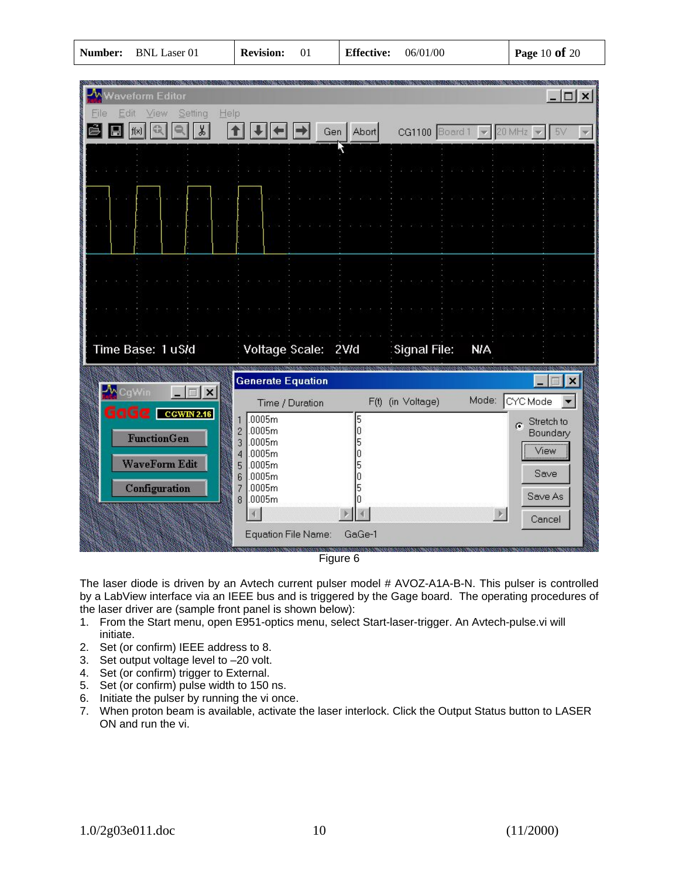| Vaveform Editor<br>View<br>Setting<br>Help<br>Edit<br>File |                                                        |                                       | $ \Box$ $\times$                   |
|------------------------------------------------------------|--------------------------------------------------------|---------------------------------------|------------------------------------|
|                                                            | Abort<br>Gen                                           | $CG1100$ Board 1 $\blacktriangledown$ | 20 MHz                             |
|                                                            |                                                        |                                       |                                    |
|                                                            |                                                        |                                       |                                    |
|                                                            |                                                        |                                       |                                    |
|                                                            |                                                        |                                       |                                    |
|                                                            |                                                        |                                       |                                    |
|                                                            |                                                        |                                       |                                    |
|                                                            |                                                        |                                       |                                    |
|                                                            |                                                        |                                       |                                    |
|                                                            |                                                        |                                       |                                    |
| Time Base: 1 uS/d                                          | Voltage Scale: 2VId                                    | <b>Signal File:</b><br><b>N/A</b>     |                                    |
|                                                            | <b>Generate Equation</b>                               |                                       | $\mathsf{I} \times$                |
| $ \Box$ $\times$ $\vert$                                   | Time / Duration                                        | Mode:<br>F(t) (in Voltage)            | CYC Mode                           |
| CCWIN 2.16<br>dela                                         | .0005m<br>5<br>1<br>.0005m                             |                                       | Stretch to<br>$\sigma$<br>Boundary |
| <b>FunctionGen</b>                                         | $\frac{2}{3}$<br>.0005m<br>.0005m<br>4                 |                                       | View                               |
| <b>WaveForm Edit</b>                                       | .0005m<br>5<br>.0005m<br>6<br>.0005m<br>$\overline{7}$ |                                       | Save                               |
| Configuration                                              | .0005m<br>8                                            |                                       | Save As                            |
|                                                            | <b>Equation File Name:</b><br>GaGe-1                   |                                       | $\vert$ ).<br>Cancel               |

Figure 6

The laser diode is driven by an Avtech current pulser model # AVOZ-A1A-B-N. This pulser is controlled by a LabView interface via an IEEE bus and is triggered by the Gage board. The operating procedures of the laser driver are (sample front panel is shown below):

- 1. From the Start menu, open E951-optics menu, select Start-laser-trigger. An Avtech-pulse.vi will initiate.
- 2. Set (or confirm) IEEE address to 8.
- 3. Set output voltage level to –20 volt.
- 4. Set (or confirm) trigger to External.
- 5. Set (or confirm) pulse width to 150 ns.
- 6. Initiate the pulser by running the vi once.
- 7. When proton beam is available, activate the laser interlock. Click the Output Status button to LASER ON and run the vi.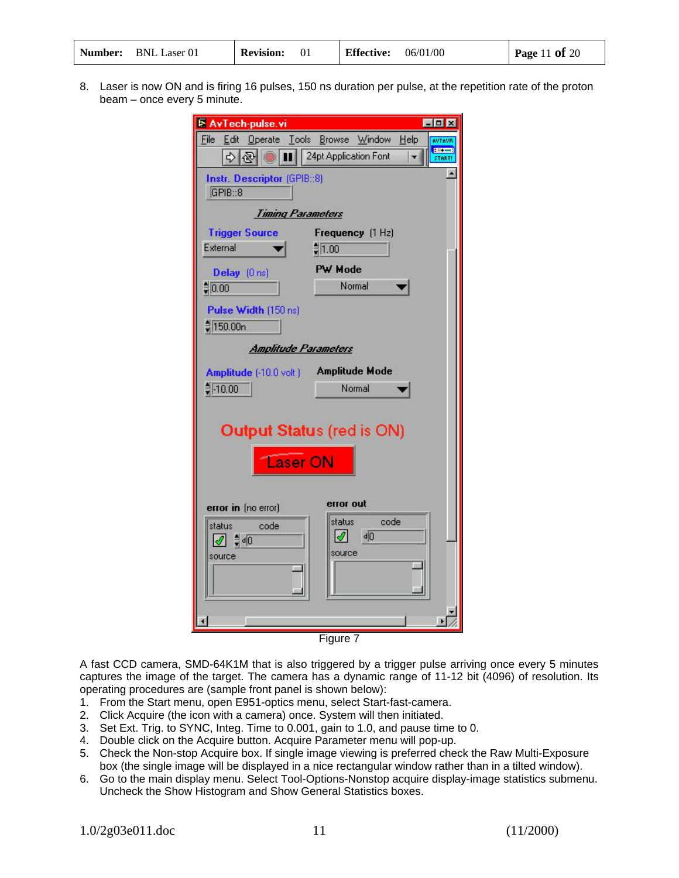| <b>Number:</b> BNL Laser 01 | <b>Revision:</b> |  | <b>Effective:</b> | 06/01/00 | Page 11 of 20 |
|-----------------------------|------------------|--|-------------------|----------|---------------|
|-----------------------------|------------------|--|-------------------|----------|---------------|

8. Laser is now ON and is firing 16 pulses, 150 ns duration per pulse, at the repetition rate of the proton beam – once every 5 minute.

| <b>E AvTech-pulse.vi</b>                                 | EEX                                      |
|----------------------------------------------------------|------------------------------------------|
| Edit Operate Tools Browse<br>File                        | Window<br>He<br>AVTAVR<br><b>BECAUSE</b> |
| 수 (원<br><b>IKO</b><br>Ш                                  | 24pt Application Font<br>START!          |
| Instr. Descriptor (GPIB::8)                              |                                          |
| GPIB::8                                                  |                                          |
| <b>Timing Parameters</b>                                 |                                          |
| <b>Trigger Source</b>                                    | Frequency (1 Hz)                         |
| External                                                 | $\frac{4}{3}$ 1.00                       |
| Delay (Ons)                                              | PW Mode                                  |
| $\frac{1}{2} 0.00$                                       | Normal                                   |
| Pulse Width (150 ns)                                     |                                          |
| ‡150.00n                                                 |                                          |
| <b>Amplitude Parameters</b>                              |                                          |
| Amplitude (-10.0 volt)                                   | <b>Amplitude Mode</b>                    |
| $\frac{4}{7}$ -10.00                                     | Normal                                   |
|                                                          |                                          |
|                                                          |                                          |
|                                                          | <b>Output Status (red is ON)</b>         |
| Laser ON                                                 |                                          |
|                                                          |                                          |
|                                                          | error out                                |
| error in (no error)                                      | status<br>code                           |
| status.<br>code<br>$\sqrt{2}$ $\frac{4}{7}$ d $\sqrt{0}$ | $d$ <sub>0</sub><br>$ \mathscr{I} $      |
| source                                                   | source                                   |
|                                                          |                                          |
|                                                          |                                          |
|                                                          |                                          |
|                                                          |                                          |

Figure 7

A fast CCD camera, SMD-64K1M that is also triggered by a trigger pulse arriving once every 5 minutes captures the image of the target. The camera has a dynamic range of 11-12 bit (4096) of resolution. Its operating procedures are (sample front panel is shown below):

- 1. From the Start menu, open E951-optics menu, select Start-fast-camera.
- 2. Click Acquire (the icon with a camera) once. System will then initiated.
- 3. Set Ext. Trig. to SYNC, Integ. Time to 0.001, gain to 1.0, and pause time to 0.
- 4. Double click on the Acquire button. Acquire Parameter menu will pop-up.
- 5. Check the Non-stop Acquire box. If single image viewing is preferred check the Raw Multi-Exposure box (the single image will be displayed in a nice rectangular window rather than in a tilted window).
- 6. Go to the main display menu. Select Tool-Options-Nonstop acquire display-image statistics submenu. Uncheck the Show Histogram and Show General Statistics boxes.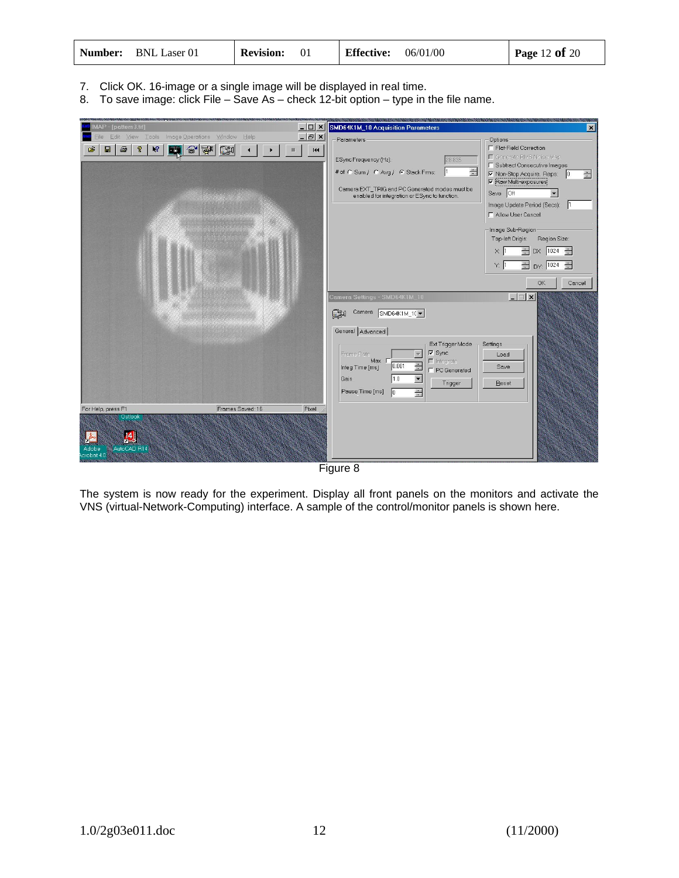|  | <b>Number:</b> BNL Laser 01 | <b>Revision:</b> |  | <b>Effective:</b> | 06/01/00 | <b>Page 12 of 20</b> |
|--|-----------------------------|------------------|--|-------------------|----------|----------------------|
|--|-----------------------------|------------------|--|-------------------|----------|----------------------|

7. Click OK. 16-image or a single image will be displayed in real time.

8. To save image: click File – Save As – check 12-bit option – type in the file name.



Figure 8

The system is now ready for the experiment. Display all front panels on the monitors and activate the VNS (virtual-Network-Computing) interface. A sample of the control/monitor panels is shown here.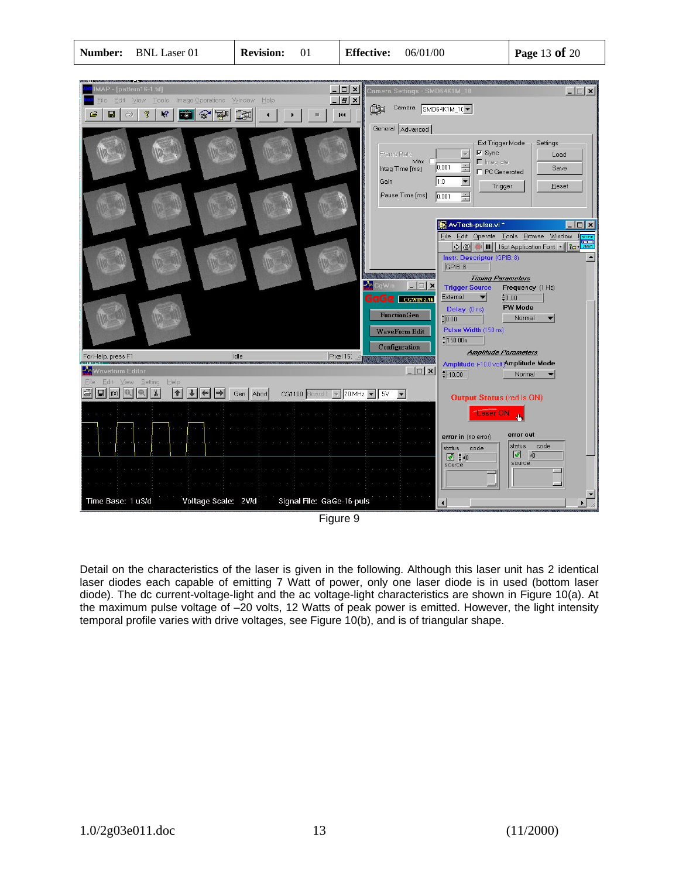

Detail on the characteristics of the laser is given in the following. Although this laser unit has 2 identical laser diodes each capable of emitting 7 Watt of power, only one laser diode is in used (bottom laser diode). The dc current-voltage-light and the ac voltage-light characteristics are shown in Figure 10(a). At the maximum pulse voltage of –20 volts, 12 Watts of peak power is emitted. However, the light intensity temporal profile varies with drive voltages, see Figure 10(b), and is of triangular shape.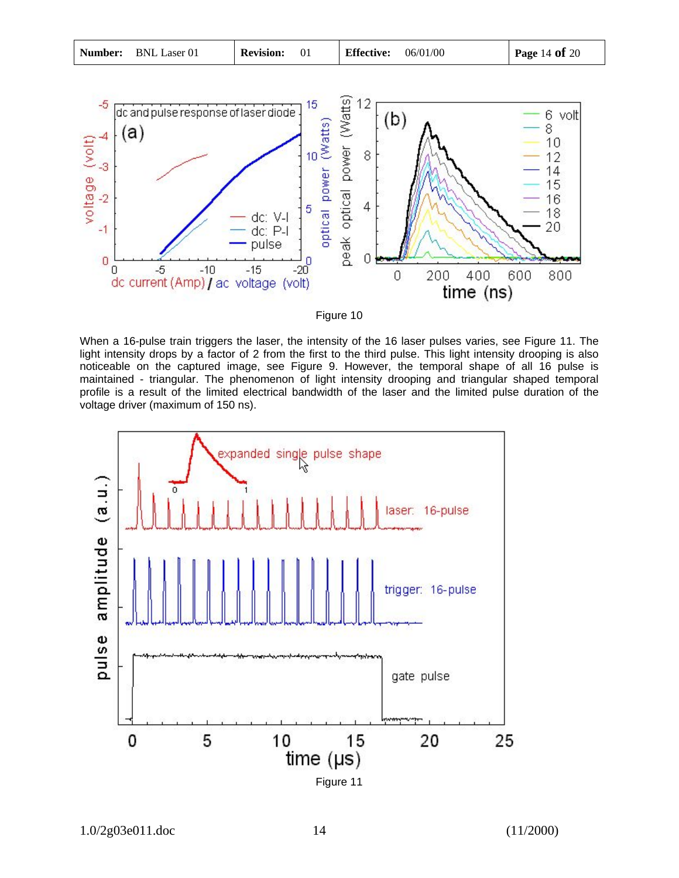voltage driver (maximum of 150 ns).







light intensity drops by a factor of 2 from the first to the third pulse. This light intensity drooping is also noticeable on the captured image, see Figure 9. However, the temporal shape of all 16 pulse is maintained - triangular. The phenomenon of light intensity drooping and triangular shaped temporal profile is a result of the limited electrical bandwidth of the laser and the limited pulse duration of the

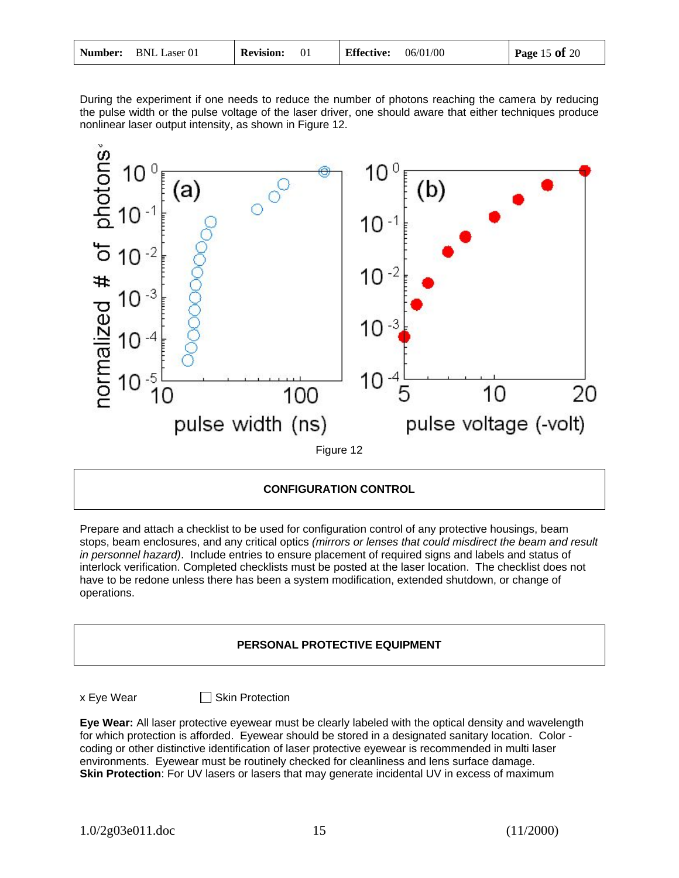|  | <b>Number:</b> BNL Laser 01 | <b>Revision:</b> |  | Effective: | 06/01/00 | Page 15 of 20 |
|--|-----------------------------|------------------|--|------------|----------|---------------|
|--|-----------------------------|------------------|--|------------|----------|---------------|

During the experiment if one needs to reduce the number of photons reaching the camera by reducing the pulse width or the pulse voltage of the laser driver, one should aware that either techniques produce nonlinear laser output intensity, as shown in Figure 12.



#### **CONFIGURATION CONTROL**

Prepare and attach a checklist to be used for configuration control of any protective housings, beam stops, beam enclosures, and any critical optics *(mirrors or lenses that could misdirect the beam and result in personnel hazard)*. Include entries to ensure placement of required signs and labels and status of interlock verification. Completed checklists must be posted at the laser location. The checklist does not have to be redone unless there has been a system modification, extended shutdown, or change of operations.

### **PERSONAL PROTECTIVE EQUIPMENT**

x Eye Wear Skin Protection

**Eye Wear:** All laser protective eyewear must be clearly labeled with the optical density and wavelength for which protection is afforded. Eyewear should be stored in a designated sanitary location. Color coding or other distinctive identification of laser protective eyewear is recommended in multi laser environments. Eyewear must be routinely checked for cleanliness and lens surface damage. **Skin Protection**: For UV lasers or lasers that may generate incidental UV in excess of maximum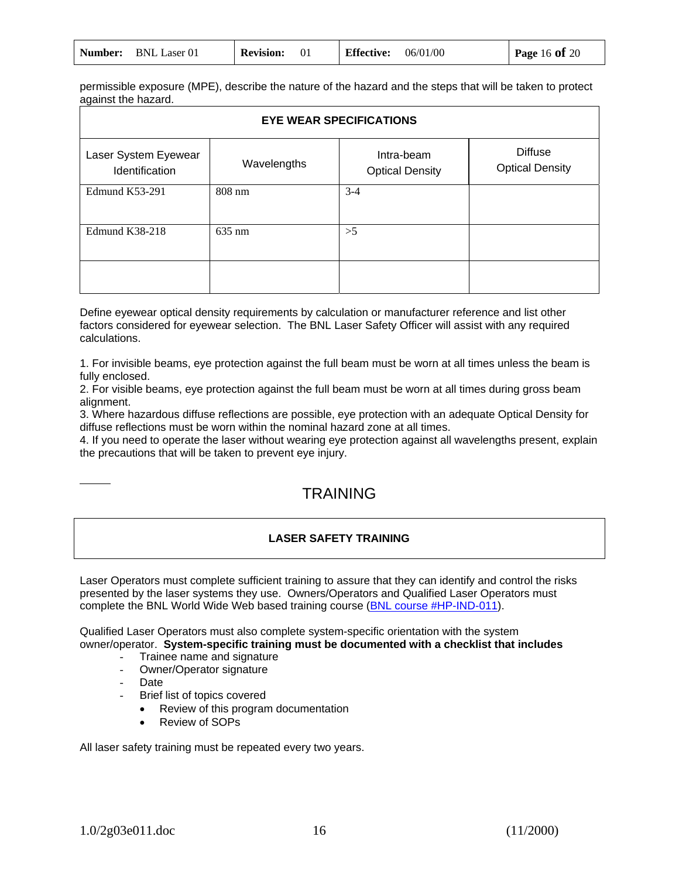| Number: | <b>BNL Laser 01</b> | <b>Revision:</b> |  | <b>Effective:</b> | 06/01/00 | <b>Page 16 of 20</b> |
|---------|---------------------|------------------|--|-------------------|----------|----------------------|
|---------|---------------------|------------------|--|-------------------|----------|----------------------|

permissible exposure (MPE), describe the nature of the hazard and the steps that will be taken to protect against the hazard.

| <b>EYE WEAR SPECIFICATIONS</b>         |                  |                                      |                                          |  |  |
|----------------------------------------|------------------|--------------------------------------|------------------------------------------|--|--|
| Laser System Eyewear<br>Identification | Wavelengths      | Intra-beam<br><b>Optical Density</b> | <b>Diffuse</b><br><b>Optical Density</b> |  |  |
| Edmund K53-291                         | $808 \text{ nm}$ | $3 - 4$                              |                                          |  |  |
| Edmund K38-218                         | $635 \text{ nm}$ | >5                                   |                                          |  |  |
|                                        |                  |                                      |                                          |  |  |

Define eyewear optical density requirements by calculation or manufacturer reference and list other factors considered for eyewear selection. The BNL Laser Safety Officer will assist with any required calculations.

1. For invisible beams, eye protection against the full beam must be worn at all times unless the beam is fully enclosed.

2. For visible beams, eye protection against the full beam must be worn at all times during gross beam alignment.

3. Where hazardous diffuse reflections are possible, eye protection with an adequate Optical Density for diffuse reflections must be worn within the nominal hazard zone at all times.

4. If you need to operate the laser without wearing eye protection against all wavelengths present, explain the precautions that will be taken to prevent eye injury.

# **TRAINING**

#### **LASER SAFETY TRAINING**

Laser Operators must complete sufficient training to assure that they can identify and control the risks presented by the laser systems they use. Owners/Operators and Qualified Laser Operators must complete the BNL World Wide Web based training course (BNL course #HP-IND-011).

Qualified Laser Operators must also complete system-specific orientation with the system owner/operator. **System-specific training must be documented with a checklist that includes** 

- Trainee name and signature
- Owner/Operator signature
- Date

Brief list of topics covered

- Review of this program documentation
- Review of SOPs

All laser safety training must be repeated every two years.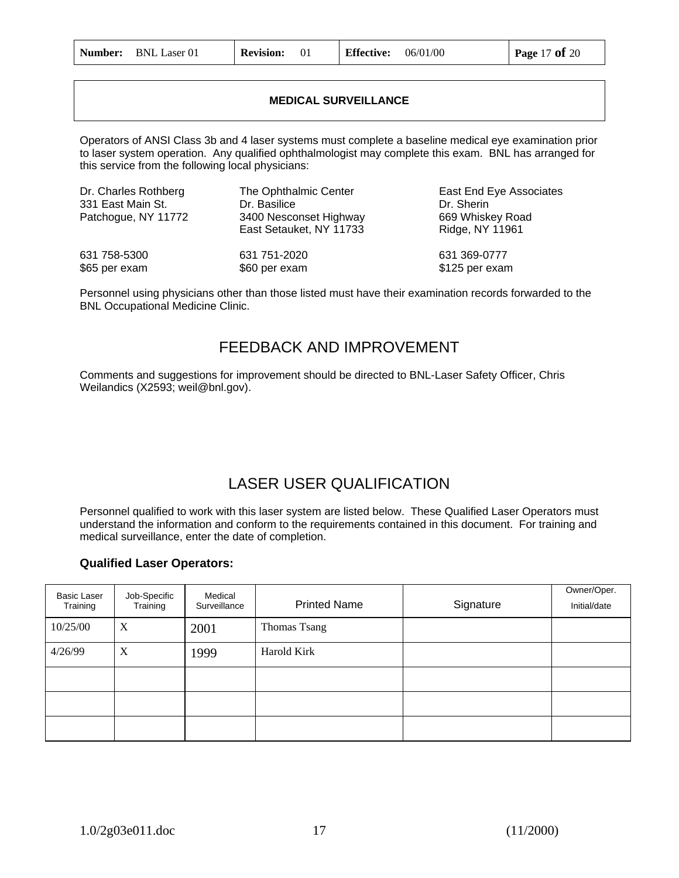| 06/01/00<br><b>Number:</b> BNL Laser 01<br><b>Effective:</b><br><b>Revision:</b> | <b>Page 17 of 20</b> |
|----------------------------------------------------------------------------------|----------------------|
|----------------------------------------------------------------------------------|----------------------|

### **MEDICAL SURVEILLANCE**

Operators of ANSI Class 3b and 4 laser systems must complete a baseline medical eye examination prior to laser system operation. Any qualified ophthalmologist may complete this exam. BNL has arranged for this service from the following local physicians:

| Dr. Charles Rothberg<br>331 East Main St.<br>Patchogue, NY 11772 | The Ophthalmic Center<br>Dr. Basilice<br>3400 Nesconset Highway<br>East Setauket, NY 11733 | East End Eye Associates<br>Dr. Sherin<br>669 Whiskey Road<br>Ridge, NY 11961 |
|------------------------------------------------------------------|--------------------------------------------------------------------------------------------|------------------------------------------------------------------------------|
| 631 758-5300                                                     | 631 751-2020                                                                               | 631 369-0777                                                                 |
| \$65 per exam                                                    | \$60 per exam                                                                              | \$125 per exam                                                               |

Personnel using physicians other than those listed must have their examination records forwarded to the BNL Occupational Medicine Clinic.

### FEEDBACK AND IMPROVEMENT

Comments and suggestions for improvement should be directed to BNL-Laser Safety Officer, Chris Weilandics (X2593; weil@bnl.gov).

# LASER USER QUALIFICATION

Personnel qualified to work with this laser system are listed below. These Qualified Laser Operators must understand the information and conform to the requirements contained in this document. For training and medical surveillance, enter the date of completion.

### **Qualified Laser Operators:**

| <b>Basic Laser</b><br>Training | Job-Specific<br>Training | Medical<br>Surveillance | <b>Printed Name</b> | Signature | Owner/Oper.<br>Initial/date |
|--------------------------------|--------------------------|-------------------------|---------------------|-----------|-----------------------------|
| 10/25/00                       | X                        | 2001                    | Thomas Tsang        |           |                             |
| 4/26/99                        | X                        | 1999                    | Harold Kirk         |           |                             |
|                                |                          |                         |                     |           |                             |
|                                |                          |                         |                     |           |                             |
|                                |                          |                         |                     |           |                             |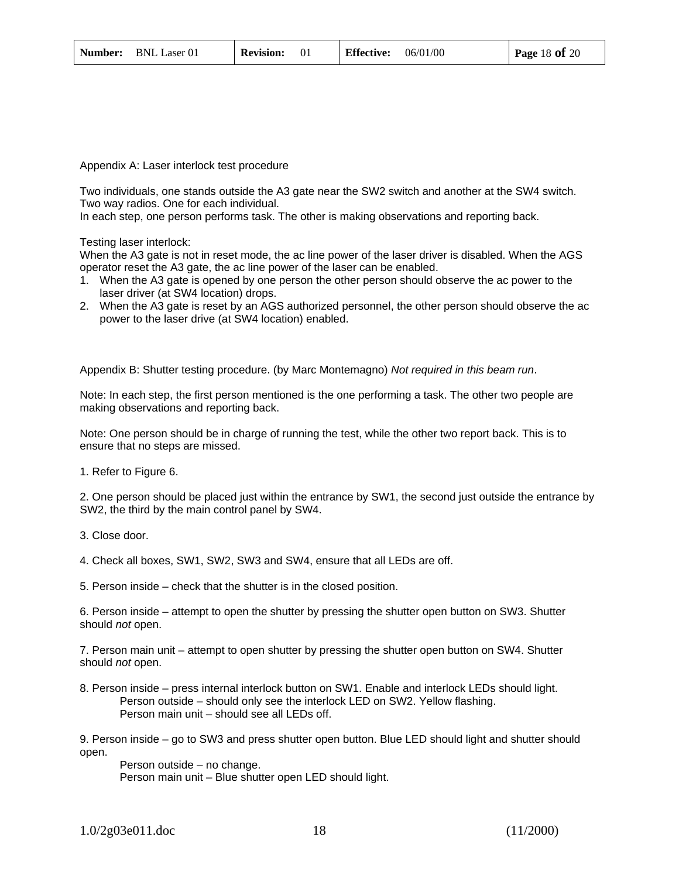Appendix A: Laser interlock test procedure

Two individuals, one stands outside the A3 gate near the SW2 switch and another at the SW4 switch. Two way radios. One for each individual.

In each step, one person performs task. The other is making observations and reporting back.

Testing laser interlock:

When the A3 gate is not in reset mode, the ac line power of the laser driver is disabled. When the AGS operator reset the A3 gate, the ac line power of the laser can be enabled.

- 1. When the A3 gate is opened by one person the other person should observe the ac power to the laser driver (at SW4 location) drops.
- 2. When the A3 gate is reset by an AGS authorized personnel, the other person should observe the ac power to the laser drive (at SW4 location) enabled.

Appendix B: Shutter testing procedure. (by Marc Montemagno) *Not required in this beam run*.

Note: In each step, the first person mentioned is the one performing a task. The other two people are making observations and reporting back.

Note: One person should be in charge of running the test, while the other two report back. This is to ensure that no steps are missed.

1. Refer to Figure 6.

2. One person should be placed just within the entrance by SW1, the second just outside the entrance by SW2, the third by the main control panel by SW4.

- 3. Close door.
- 4. Check all boxes, SW1, SW2, SW3 and SW4, ensure that all LEDs are off.
- 5. Person inside check that the shutter is in the closed position.

6. Person inside – attempt to open the shutter by pressing the shutter open button on SW3. Shutter should *not* open.

7. Person main unit – attempt to open shutter by pressing the shutter open button on SW4. Shutter should *not* open.

8. Person inside – press internal interlock button on SW1. Enable and interlock LEDs should light. Person outside – should only see the interlock LED on SW2. Yellow flashing. Person main unit – should see all LEDs off.

9. Person inside – go to SW3 and press shutter open button. Blue LED should light and shutter should open.

 Person outside – no change. Person main unit – Blue shutter open LED should light.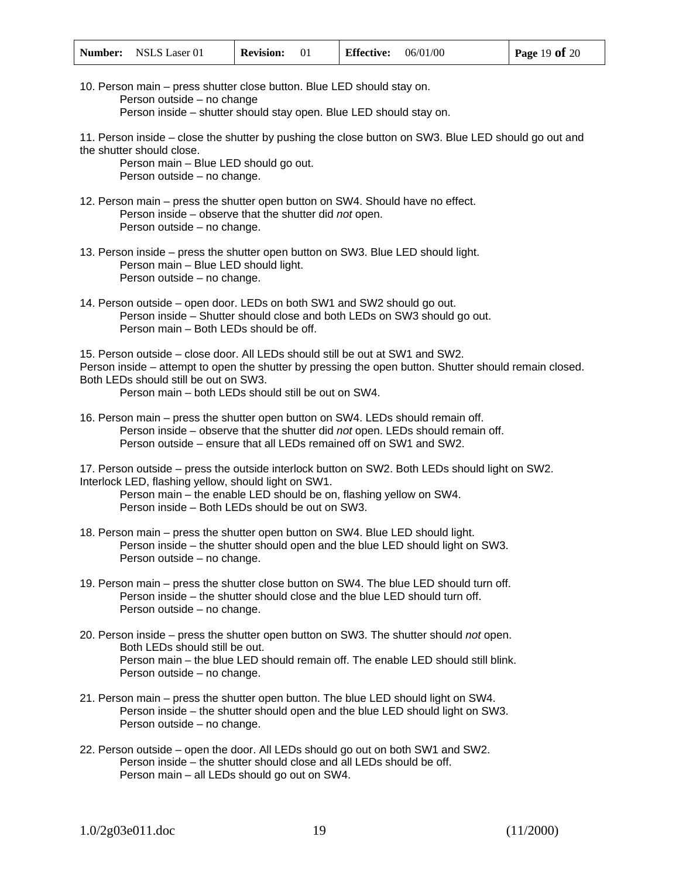| <b>Number:</b> NSLS Laser 01 | <b>Revision:</b> | 06/01/00<br><b>Effective:</b> | <b>Page 19 of 20</b> |
|------------------------------|------------------|-------------------------------|----------------------|
|------------------------------|------------------|-------------------------------|----------------------|

10. Person main – press shutter close button. Blue LED should stay on. Person outside – no change Person inside – shutter should stay open. Blue LED should stay on.

11. Person inside – close the shutter by pushing the close button on SW3. Blue LED should go out and the shutter should close.

 Person main – Blue LED should go out. Person outside – no change.

- 12. Person main press the shutter open button on SW4. Should have no effect. Person inside – observe that the shutter did *not* open. Person outside – no change.
- 13. Person inside press the shutter open button on SW3. Blue LED should light. Person main – Blue LED should light. Person outside – no change.
- 14. Person outside open door. LEDs on both SW1 and SW2 should go out. Person inside – Shutter should close and both LEDs on SW3 should go out. Person main – Both LEDs should be off.

15. Person outside – close door. All LEDs should still be out at SW1 and SW2. Person inside – attempt to open the shutter by pressing the open button. Shutter should remain closed. Both LEDs should still be out on SW3.

Person main – both LEDs should still be out on SW4.

16. Person main – press the shutter open button on SW4. LEDs should remain off. Person inside – observe that the shutter did *not* open. LEDs should remain off. Person outside – ensure that all LEDs remained off on SW1 and SW2.

17. Person outside – press the outside interlock button on SW2. Both LEDs should light on SW2. Interlock LED, flashing yellow, should light on SW1.

 Person main – the enable LED should be on, flashing yellow on SW4. Person inside – Both LEDs should be out on SW3.

- 18. Person main press the shutter open button on SW4. Blue LED should light. Person inside – the shutter should open and the blue LED should light on SW3. Person outside – no change.
- 19. Person main press the shutter close button on SW4. The blue LED should turn off. Person inside – the shutter should close and the blue LED should turn off. Person outside – no change.
- 20. Person inside press the shutter open button on SW3. The shutter should *not* open. Both LEDs should still be out. Person main – the blue LED should remain off. The enable LED should still blink. Person outside – no change.
- 21. Person main press the shutter open button. The blue LED should light on SW4. Person inside – the shutter should open and the blue LED should light on SW3. Person outside – no change.
- 22. Person outside open the door. All LEDs should go out on both SW1 and SW2. Person inside – the shutter should close and all LEDs should be off. Person main – all LEDs should go out on SW4.